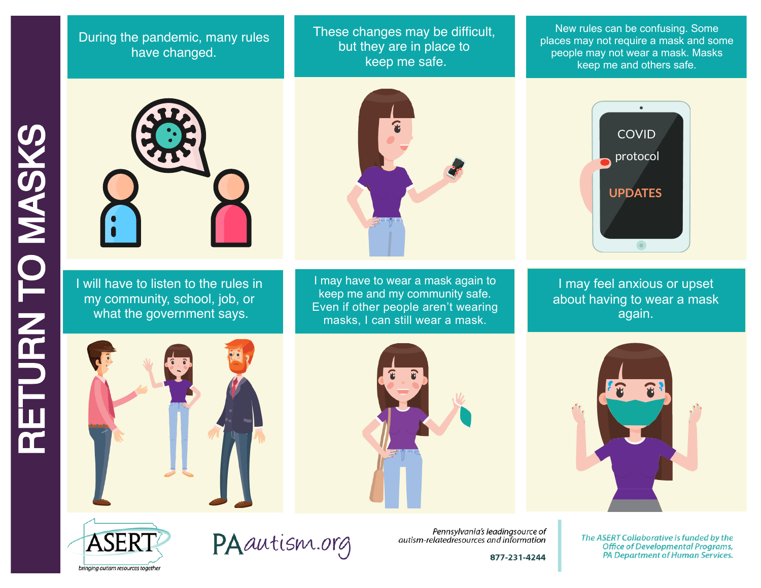## During the pandemic, many rules have changed.

These changes may be difficult, but they are in place to keep me safe.

New rules can be confusing. Some places may not require a mask and some people may not wear a mask. Masks keep me and others safe.



I will have to listen to the rules in my community, school, job, or what the government says.



I may have to wear a mask again to keep me and my community safe. Even if other people aren't wearing masks, I can still wear a mask.



I may feel anxious or upset about having to wear a mask again.









PAautism.org

Pennsylvania's leadingsource of autism-relatedresources and information

877-231-4244

The ASERT Collaborative is funded by the **Office of Developmental Programs,** PA Department of Human Services.